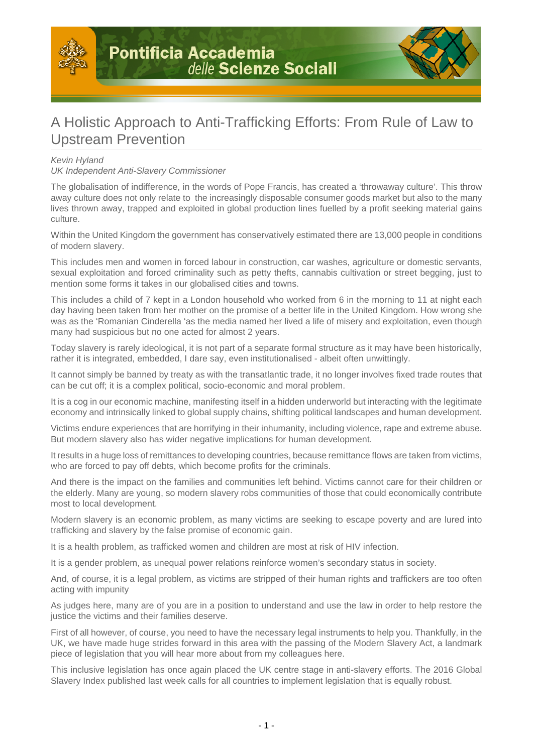



## A Holistic Approach to Anti-Trafficking Efforts: From Rule of Law to Upstream Prevention

## Kevin Hyland

UK Independent Anti-Slavery Commissioner

The globalisation of indifference, in the words of Pope Francis, has created a 'throwaway culture'. This throw away culture does not only relate to the increasingly disposable consumer goods market but also to the many lives thrown away, trapped and exploited in global production lines fuelled by a profit seeking material gains culture.

Within the United Kingdom the government has conservatively estimated there are 13,000 people in conditions of modern slavery.

This includes men and women in forced labour in construction, car washes, agriculture or domestic servants, sexual exploitation and forced criminality such as petty thefts, cannabis cultivation or street begging, just to mention some forms it takes in our globalised cities and towns.

This includes a child of 7 kept in a London household who worked from 6 in the morning to 11 at night each day having been taken from her mother on the promise of a better life in the United Kingdom. How wrong she was as the 'Romanian Cinderella 'as the media named her lived a life of misery and exploitation, even though many had suspicious but no one acted for almost 2 years.

Today slavery is rarely ideological, it is not part of a separate formal structure as it may have been historically, rather it is integrated, embedded, I dare say, even institutionalised - albeit often unwittingly.

It cannot simply be banned by treaty as with the transatlantic trade, it no longer involves fixed trade routes that can be cut off; it is a complex political, socio-economic and moral problem.

It is a cog in our economic machine, manifesting itself in a hidden underworld but interacting with the legitimate economy and intrinsically linked to global supply chains, shifting political landscapes and human development.

Victims endure experiences that are horrifying in their inhumanity, including violence, rape and extreme abuse. But modern slavery also has wider negative implications for human development.

It results in a huge loss of remittances to developing countries, because remittance flows are taken from victims, who are forced to pay off debts, which become profits for the criminals.

And there is the impact on the families and communities left behind. Victims cannot care for their children or the elderly. Many are young, so modern slavery robs communities of those that could economically contribute most to local development.

Modern slavery is an economic problem, as many victims are seeking to escape poverty and are lured into trafficking and slavery by the false promise of economic gain.

It is a health problem, as trafficked women and children are most at risk of HIV infection.

It is a gender problem, as unequal power relations reinforce women's secondary status in society.

And, of course, it is a legal problem, as victims are stripped of their human rights and traffickers are too often acting with impunity

As judges here, many are of you are in a position to understand and use the law in order to help restore the justice the victims and their families deserve.

First of all however, of course, you need to have the necessary legal instruments to help you. Thankfully, in the UK, we have made huge strides forward in this area with the passing of the Modern Slavery Act, a landmark piece of legislation that you will hear more about from my colleagues here.

This inclusive legislation has once again placed the UK centre stage in anti-slavery efforts. The 2016 Global Slavery Index published last week calls for all countries to implement legislation that is equally robust.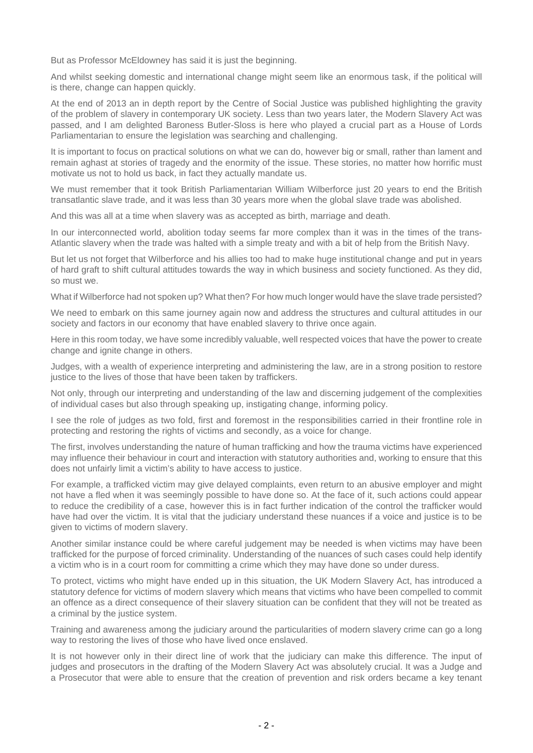But as Professor McEldowney has said it is just the beginning.

And whilst seeking domestic and international change might seem like an enormous task, if the political will is there, change can happen quickly.

At the end of 2013 an in depth report by the Centre of Social Justice was published highlighting the gravity of the problem of slavery in contemporary UK society. Less than two years later, the Modern Slavery Act was passed, and I am delighted Baroness Butler-Sloss is here who played a crucial part as a House of Lords Parliamentarian to ensure the legislation was searching and challenging.

It is important to focus on practical solutions on what we can do, however big or small, rather than lament and remain aghast at stories of tragedy and the enormity of the issue. These stories, no matter how horrific must motivate us not to hold us back, in fact they actually mandate us.

We must remember that it took British Parliamentarian William Wilberforce just 20 years to end the British transatlantic slave trade, and it was less than 30 years more when the global slave trade was abolished.

And this was all at a time when slavery was as accepted as birth, marriage and death.

In our interconnected world, abolition today seems far more complex than it was in the times of the trans-Atlantic slavery when the trade was halted with a simple treaty and with a bit of help from the British Navy.

But let us not forget that Wilberforce and his allies too had to make huge institutional change and put in years of hard graft to shift cultural attitudes towards the way in which business and society functioned. As they did, so must we.

What if Wilberforce had not spoken up? What then? For how much longer would have the slave trade persisted?

We need to embark on this same journey again now and address the structures and cultural attitudes in our society and factors in our economy that have enabled slavery to thrive once again.

Here in this room today, we have some incredibly valuable, well respected voices that have the power to create change and ignite change in others.

Judges, with a wealth of experience interpreting and administering the law, are in a strong position to restore justice to the lives of those that have been taken by traffickers.

Not only, through our interpreting and understanding of the law and discerning judgement of the complexities of individual cases but also through speaking up, instigating change, informing policy.

I see the role of judges as two fold, first and foremost in the responsibilities carried in their frontline role in protecting and restoring the rights of victims and secondly, as a voice for change.

The first, involves understanding the nature of human trafficking and how the trauma victims have experienced may influence their behaviour in court and interaction with statutory authorities and, working to ensure that this does not unfairly limit a victim's ability to have access to justice.

For example, a trafficked victim may give delayed complaints, even return to an abusive employer and might not have a fled when it was seemingly possible to have done so. At the face of it, such actions could appear to reduce the credibility of a case, however this is in fact further indication of the control the trafficker would have had over the victim. It is vital that the judiciary understand these nuances if a voice and justice is to be given to victims of modern slavery.

Another similar instance could be where careful judgement may be needed is when victims may have been trafficked for the purpose of forced criminality. Understanding of the nuances of such cases could help identify a victim who is in a court room for committing a crime which they may have done so under duress.

To protect, victims who might have ended up in this situation, the UK Modern Slavery Act, has introduced a statutory defence for victims of modern slavery which means that victims who have been compelled to commit an offence as a direct consequence of their slavery situation can be confident that they will not be treated as a criminal by the justice system.

Training and awareness among the judiciary around the particularities of modern slavery crime can go a long way to restoring the lives of those who have lived once enslaved.

It is not however only in their direct line of work that the judiciary can make this difference. The input of judges and prosecutors in the drafting of the Modern Slavery Act was absolutely crucial. It was a Judge and a Prosecutor that were able to ensure that the creation of prevention and risk orders became a key tenant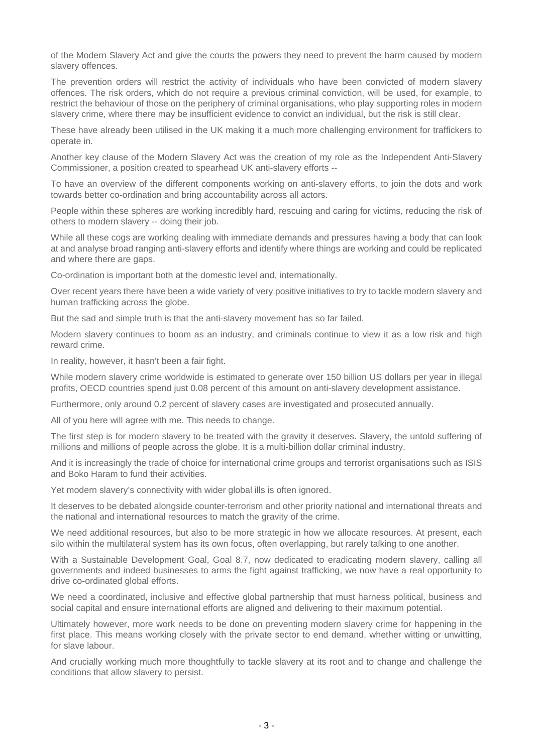of the Modern Slavery Act and give the courts the powers they need to prevent the harm caused by modern slavery offences.

The prevention orders will restrict the activity of individuals who have been convicted of modern slavery offences. The risk orders, which do not require a previous criminal conviction, will be used, for example, to restrict the behaviour of those on the periphery of criminal organisations, who play supporting roles in modern slavery crime, where there may be insufficient evidence to convict an individual, but the risk is still clear.

These have already been utilised in the UK making it a much more challenging environment for traffickers to operate in.

Another key clause of the Modern Slavery Act was the creation of my role as the Independent Anti-Slavery Commissioner, a position created to spearhead UK anti-slavery efforts --

To have an overview of the different components working on anti-slavery efforts, to join the dots and work towards better co-ordination and bring accountability across all actors.

People within these spheres are working incredibly hard, rescuing and caring for victims, reducing the risk of others to modern slavery -- doing their job.

While all these cogs are working dealing with immediate demands and pressures having a body that can look at and analyse broad ranging anti-slavery efforts and identify where things are working and could be replicated and where there are gaps.

Co-ordination is important both at the domestic level and, internationally.

Over recent years there have been a wide variety of very positive initiatives to try to tackle modern slavery and human trafficking across the globe.

But the sad and simple truth is that the anti-slavery movement has so far failed.

Modern slavery continues to boom as an industry, and criminals continue to view it as a low risk and high reward crime.

In reality, however, it hasn't been a fair fight.

While modern slavery crime worldwide is estimated to generate over 150 billion US dollars per year in illegal profits, OECD countries spend just 0.08 percent of this amount on anti-slavery development assistance.

Furthermore, only around 0.2 percent of slavery cases are investigated and prosecuted annually.

All of you here will agree with me. This needs to change.

The first step is for modern slavery to be treated with the gravity it deserves. Slavery, the untold suffering of millions and millions of people across the globe. It is a multi-billion dollar criminal industry.

And it is increasingly the trade of choice for international crime groups and terrorist organisations such as ISIS and Boko Haram to fund their activities.

Yet modern slavery's connectivity with wider global ills is often ignored.

It deserves to be debated alongside counter-terrorism and other priority national and international threats and the national and international resources to match the gravity of the crime.

We need additional resources, but also to be more strategic in how we allocate resources. At present, each silo within the multilateral system has its own focus, often overlapping, but rarely talking to one another.

With a Sustainable Development Goal, Goal 8.7, now dedicated to eradicating modern slavery, calling all governments and indeed businesses to arms the fight against trafficking, we now have a real opportunity to drive co-ordinated global efforts.

We need a coordinated, inclusive and effective global partnership that must harness political, business and social capital and ensure international efforts are aligned and delivering to their maximum potential.

Ultimately however, more work needs to be done on preventing modern slavery crime for happening in the first place. This means working closely with the private sector to end demand, whether witting or unwitting, for slave labour.

And crucially working much more thoughtfully to tackle slavery at its root and to change and challenge the conditions that allow slavery to persist.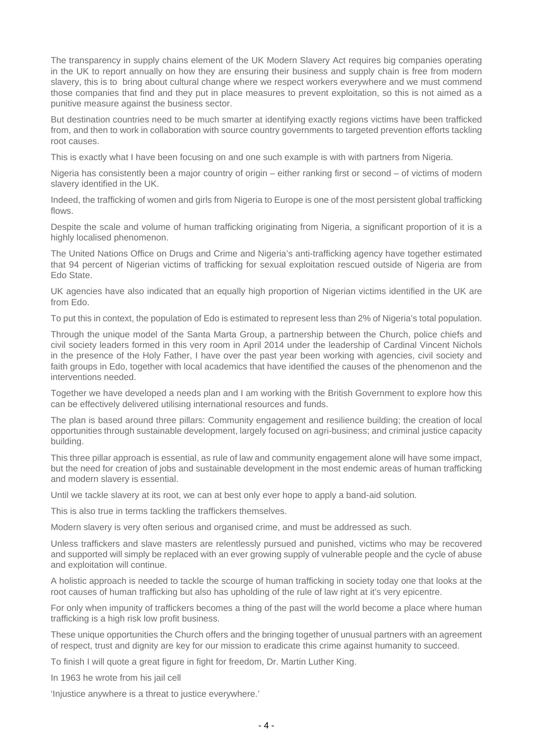The transparency in supply chains element of the UK Modern Slavery Act requires big companies operating in the UK to report annually on how they are ensuring their business and supply chain is free from modern slavery, this is to bring about cultural change where we respect workers everywhere and we must commend those companies that find and they put in place measures to prevent exploitation, so this is not aimed as a punitive measure against the business sector.

But destination countries need to be much smarter at identifying exactly regions victims have been trafficked from, and then to work in collaboration with source country governments to targeted prevention efforts tackling root causes.

This is exactly what I have been focusing on and one such example is with with partners from Nigeria.

Nigeria has consistently been a major country of origin – either ranking first or second – of victims of modern slavery identified in the UK.

Indeed, the trafficking of women and girls from Nigeria to Europe is one of the most persistent global trafficking flows.

Despite the scale and volume of human trafficking originating from Nigeria, a significant proportion of it is a highly localised phenomenon.

The United Nations Office on Drugs and Crime and Nigeria's anti-trafficking agency have together estimated that 94 percent of Nigerian victims of trafficking for sexual exploitation rescued outside of Nigeria are from Edo State.

UK agencies have also indicated that an equally high proportion of Nigerian victims identified in the UK are from Edo.

To put this in context, the population of Edo is estimated to represent less than 2% of Nigeria's total population.

Through the unique model of the Santa Marta Group, a partnership between the Church, police chiefs and civil society leaders formed in this very room in April 2014 under the leadership of Cardinal Vincent Nichols in the presence of the Holy Father, I have over the past year been working with agencies, civil society and faith groups in Edo, together with local academics that have identified the causes of the phenomenon and the interventions needed.

Together we have developed a needs plan and I am working with the British Government to explore how this can be effectively delivered utilising international resources and funds.

The plan is based around three pillars: Community engagement and resilience building; the creation of local opportunities through sustainable development, largely focused on agri-business; and criminal justice capacity building.

This three pillar approach is essential, as rule of law and community engagement alone will have some impact, but the need for creation of jobs and sustainable development in the most endemic areas of human trafficking and modern slavery is essential.

Until we tackle slavery at its root, we can at best only ever hope to apply a band-aid solution.

This is also true in terms tackling the traffickers themselves.

Modern slavery is very often serious and organised crime, and must be addressed as such.

Unless traffickers and slave masters are relentlessly pursued and punished, victims who may be recovered and supported will simply be replaced with an ever growing supply of vulnerable people and the cycle of abuse and exploitation will continue.

A holistic approach is needed to tackle the scourge of human trafficking in society today one that looks at the root causes of human trafficking but also has upholding of the rule of law right at it's very epicentre.

For only when impunity of traffickers becomes a thing of the past will the world become a place where human trafficking is a high risk low profit business.

These unique opportunities the Church offers and the bringing together of unusual partners with an agreement of respect, trust and dignity are key for our mission to eradicate this crime against humanity to succeed.

To finish I will quote a great figure in fight for freedom, Dr. Martin Luther King.

In 1963 he wrote from his jail cell

'Injustice anywhere is a threat to justice everywhere.'